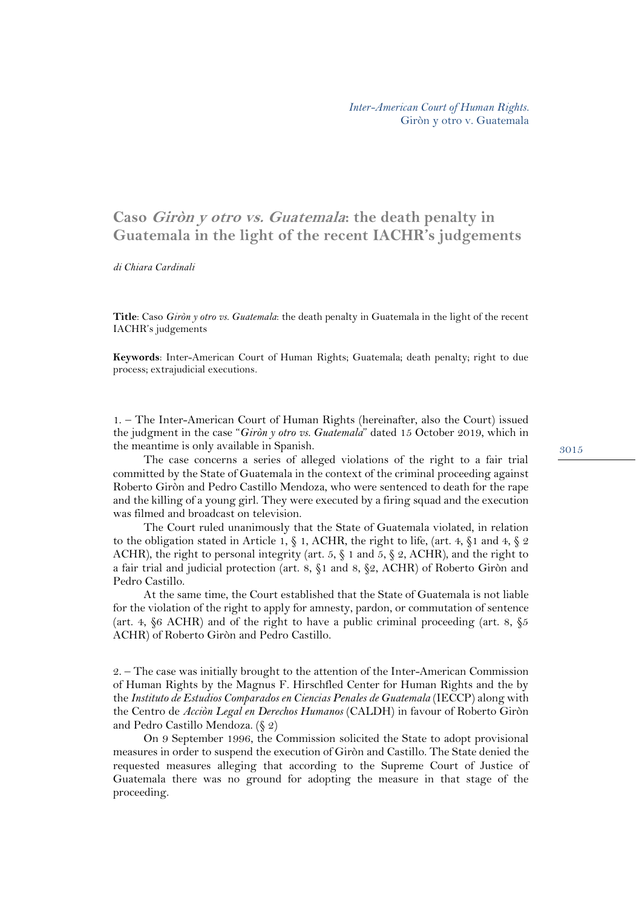## **Caso Giròn y otro vs. Guatemala: the death penalty in Guatemala in the light of the recent IACHR's judgements**

*di Chiara Cardinali*

**Title**: Caso *Giròn y otro vs. Guatemala*: the death penalty in Guatemala in the light of the recent IACHR's judgements

**Keywords**: Inter-American Court of Human Rights; Guatemala; death penalty; right to due process; extrajudicial executions.

1. – The Inter-American Court of Human Rights (hereinafter, also the Court) issued the judgment in the case "*Giròn y otro vs. Guatemala*" dated 15 October 2019, which in the meantime is only available in Spanish.

The case concerns a series of alleged violations of the right to a fair trial committed by the State of Guatemala in the context of the criminal proceeding against Roberto Giròn and Pedro Castillo Mendoza, who were sentenced to death for the rape and the killing of a young girl. They were executed by a firing squad and the execution was filmed and broadcast on television.

The Court ruled unanimously that the State of Guatemala violated, in relation to the obligation stated in Article 1,  $\S$  1, ACHR, the right to life, (art. 4,  $\S$ 1 and 4,  $\S$  2 ACHR), the right to personal integrity (art. 5,  $\S$  1 and 5,  $\S$  2, ACHR), and the right to a fair trial and judicial protection (art. 8, §1 and 8, §2, ACHR) of Roberto Giròn and Pedro Castillo.

At the same time, the Court established that the State of Guatemala is not liable for the violation of the right to apply for amnesty, pardon, or commutation of sentence (art. 4,  $\S 6$  ACHR) and of the right to have a public criminal proceeding (art. 8,  $\S 5$ ACHR) of Roberto Giròn and Pedro Castillo.

2. – The case was initially brought to the attention of the Inter-American Commission of Human Rights by the Magnus F. Hirschfled Center for Human Rights and the by the *Instituto de Estudios Comparados en Ciencias Penales de Guatemala* (IECCP) along with the Centro de *Acciòn Legal en Derechos Humanos* (CALDH) in favour of Roberto Giròn and Pedro Castillo Mendoza. (§ 2)

On 9 September 1996, the Commission solicited the State to adopt provisional measures in order to suspend the execution of Giròn and Castillo. The State denied the requested measures alleging that according to the Supreme Court of Justice of Guatemala there was no ground for adopting the measure in that stage of the proceeding.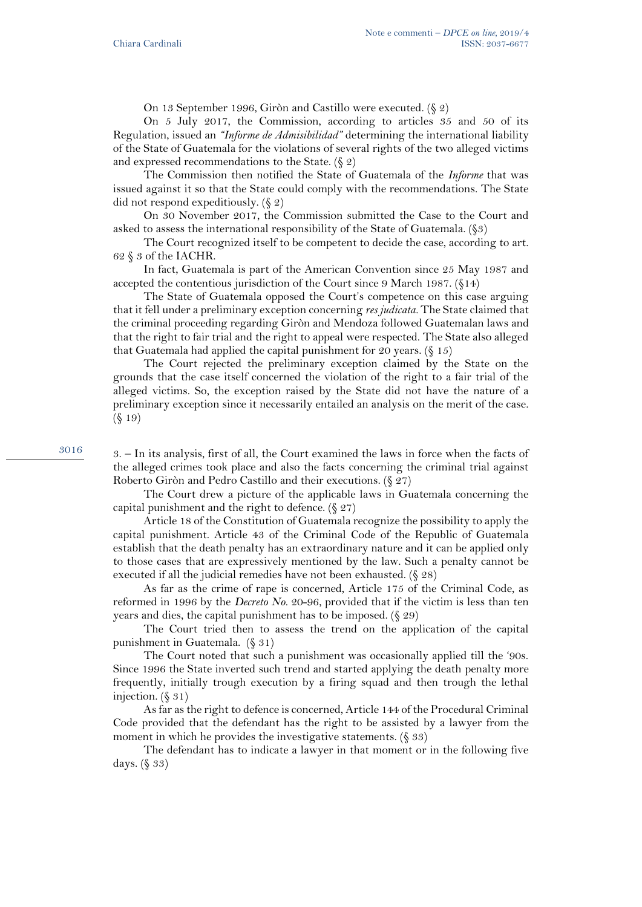On 13 September 1996, Giròn and Castillo were executed. (§ 2)

On 5 July 2017, the Commission, according to articles 35 and 50 of its Regulation, issued an *"Informe de Admisibilidad"* determining the international liability of the State of Guatemala for the violations of several rights of the two alleged victims and expressed recommendations to the State.  $(\S 2)$ 

The Commission then notified the State of Guatemala of the *Informe* that was issued against it so that the State could comply with the recommendations. The State did not respond expeditiously. (§ 2)

On 30 November 2017, the Commission submitted the Case to the Court and asked to assess the international responsibility of the State of Guatemala. (§3)

The Court recognized itself to be competent to decide the case, according to art. 62 § 3 of the IACHR.

In fact, Guatemala is part of the American Convention since 25 May 1987 and accepted the contentious jurisdiction of the Court since 9 March 1987. (§14)

The State of Guatemala opposed the Court's competence on this case arguing that it fell under a preliminary exception concerning *res judicata.* The State claimed that the criminal proceeding regarding Giròn and Mendoza followed Guatemalan laws and that the right to fair trial and the right to appeal were respected. The State also alleged that Guatemala had applied the capital punishment for 20 years.  $(\S 15)$ 

The Court rejected the preliminary exception claimed by the State on the grounds that the case itself concerned the violation of the right to a fair trial of the alleged victims. So, the exception raised by the State did not have the nature of a preliminary exception since it necessarily entailed an analysis on the merit of the case. (§ 19)

3016

3. – In its analysis, first of all, the Court examined the laws in force when the facts of the alleged crimes took place and also the facts concerning the criminal trial against Roberto Giròn and Pedro Castillo and their executions. (§ 27)

The Court drew a picture of the applicable laws in Guatemala concerning the capital punishment and the right to defence.  $(\S 27)$ 

Article 18 of the Constitution of Guatemala recognize the possibility to apply the capital punishment. Article 43 of the Criminal Code of the Republic of Guatemala establish that the death penalty has an extraordinary nature and it can be applied only to those cases that are expressively mentioned by the law. Such a penalty cannot be executed if all the judicial remedies have not been exhausted. (§ 28)

As far as the crime of rape is concerned, Article 175 of the Criminal Code, as reformed in 1996 by the *Decreto No.* 20-96, provided that if the victim is less than ten years and dies, the capital punishment has to be imposed. (§ 29)

The Court tried then to assess the trend on the application of the capital punishment in Guatemala. (§ 31)

The Court noted that such a punishment was occasionally applied till the '90s. Since 1996 the State inverted such trend and started applying the death penalty more frequently, initially trough execution by a firing squad and then trough the lethal injection.  $(\S 31)$ 

As far as the right to defence is concerned, Article 144 of the Procedural Criminal Code provided that the defendant has the right to be assisted by a lawyer from the moment in which he provides the investigative statements.  $(\S 33)$ 

The defendant has to indicate a lawyer in that moment or in the following five days. (§ 33)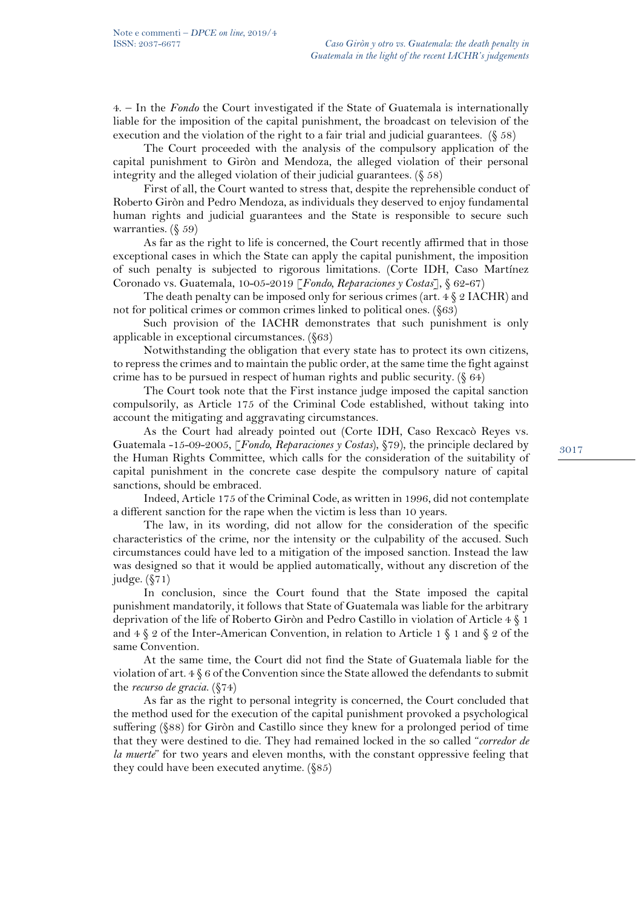4. – In the *Fondo* the Court investigated if the State of Guatemala is internationally liable for the imposition of the capital punishment, the broadcast on television of the execution and the violation of the right to a fair trial and judicial guarantees. (§ 58)

The Court proceeded with the analysis of the compulsory application of the capital punishment to Giròn and Mendoza, the alleged violation of their personal integrity and the alleged violation of their judicial guarantees.  $(\xi 58)$ 

First of all, the Court wanted to stress that, despite the reprehensible conduct of Roberto Giròn and Pedro Mendoza, as individuals they deserved to enjoy fundamental human rights and judicial guarantees and the State is responsible to secure such warranties. (§ 59)

As far as the right to life is concerned, the Court recently affirmed that in those exceptional cases in which the State can apply the capital punishment, the imposition of such penalty is subjected to rigorous limitations. (Corte IDH, Caso Martínez Coronado vs. Guatemala, 10-05-2019 [*Fondo, Reparaciones y Costas*], § 62-67)

The death penalty can be imposed only for serious crimes (art.  $4 \S 2$  IACHR) and not for political crimes or common crimes linked to political ones. (§63)

Such provision of the IACHR demonstrates that such punishment is only applicable in exceptional circumstances. (§63)

Notwithstanding the obligation that every state has to protect its own citizens, to repress the crimes and to maintain the public order, at the same time the fight against crime has to be pursued in respect of human rights and public security. (§ 64)

The Court took note that the First instance judge imposed the capital sanction compulsorily, as Article 175 of the Criminal Code established, without taking into account the mitigating and aggravating circumstances.

As the Court had already pointed out (Corte IDH, Caso Rexcacò Reyes vs. Guatemala -15-09-2005, [*Fondo, Reparaciones y Costas*), §79), the principle declared by the Human Rights Committee, which calls for the consideration of the suitability of capital punishment in the concrete case despite the compulsory nature of capital sanctions, should be embraced.

Indeed, Article 175 of the Criminal Code, as written in 1996, did not contemplate a different sanction for the rape when the victim is less than 10 years.

The law, in its wording, did not allow for the consideration of the specific characteristics of the crime, nor the intensity or the culpability of the accused. Such circumstances could have led to a mitigation of the imposed sanction. Instead the law was designed so that it would be applied automatically, without any discretion of the judge. (§71)

In conclusion, since the Court found that the State imposed the capital punishment mandatorily, it follows that State of Guatemala was liable for the arbitrary deprivation of the life of Roberto Giròn and Pedro Castillo in violation of Article 4 § 1 and  $4 \& 2$  of the Inter-American Convention, in relation to Article 1  $\& 1$  and  $\& 2$  of the same Convention.

At the same time, the Court did not find the State of Guatemala liable for the violation of art. 4 § 6 of the Convention since the State allowed the defendants to submit the *recurso de gracia*. (§74)

As far as the right to personal integrity is concerned, the Court concluded that the method used for the execution of the capital punishment provoked a psychological suffering (§88) for Giròn and Castillo since they knew for a prolonged period of time that they were destined to die. They had remained locked in the so called "*corredor de la muerte*" for two years and eleven months, with the constant oppressive feeling that they could have been executed anytime. (§85)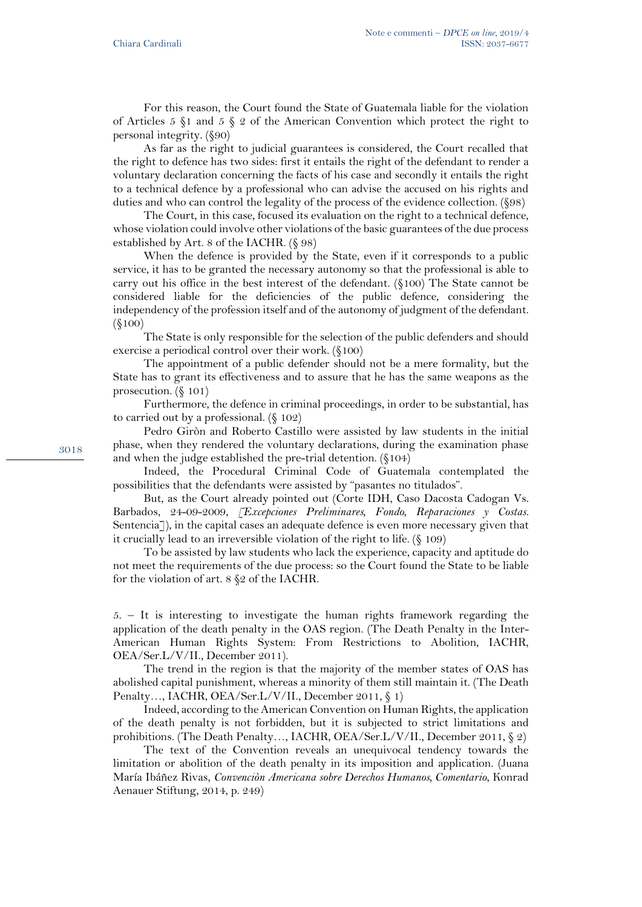For this reason, the Court found the State of Guatemala liable for the violation of Articles 5  $\S$ 1 and 5  $\S$  2 of the American Convention which protect the right to personal integrity. (§90)

As far as the right to judicial guarantees is considered, the Court recalled that the right to defence has two sides: first it entails the right of the defendant to render a voluntary declaration concerning the facts of his case and secondly it entails the right to a technical defence by a professional who can advise the accused on his rights and duties and who can control the legality of the process of the evidence collection. (§98)

The Court, in this case, focused its evaluation on the right to a technical defence, whose violation could involve other violations of the basic guarantees of the due process established by Art. 8 of the IACHR. (§ 98)

When the defence is provided by the State, even if it corresponds to a public service, it has to be granted the necessary autonomy so that the professional is able to carry out his office in the best interest of the defendant. (§100) The State cannot be considered liable for the deficiencies of the public defence, considering the independency of the profession itself and of the autonomy of judgment of the defendant. (§100)

The State is only responsible for the selection of the public defenders and should exercise a periodical control over their work. (§100)

The appointment of a public defender should not be a mere formality, but the State has to grant its effectiveness and to assure that he has the same weapons as the prosecution. (§ 101)

Furthermore, the defence in criminal proceedings, in order to be substantial, has to carried out by a professional. (§ 102)

Pedro Giròn and Roberto Castillo were assisted by law students in the initial phase, when they rendered the voluntary declarations, during the examination phase and when the judge established the pre-trial detention. (§104)

Indeed, the Procedural Criminal Code of Guatemala contemplated the possibilities that the defendants were assisted by "pasantes no titulados".

But, as the Court already pointed out (Corte IDH, Caso Dacosta Cadogan Vs. Barbados, 24-09-2009, *[Excepciones Preliminares, Fondo, Reparaciones y Costas*. Sentencia<sup>7</sup>), in the capital cases an adequate defence is even more necessary given that it crucially lead to an irreversible violation of the right to life. (§ 109)

To be assisted by law students who lack the experience, capacity and aptitude do not meet the requirements of the due process: so the Court found the State to be liable for the violation of art. 8 §2 of the IACHR.

5. – It is interesting to investigate the human rights framework regarding the application of the death penalty in the OAS region. (The Death Penalty in the Inter-American Human Rights System: From Restrictions to Abolition, IACHR, OEA/Ser.L/V/II., December 2011).

The trend in the region is that the majority of the member states of OAS has abolished capital punishment, whereas a minority of them still maintain it. (The Death Penalty…, IACHR, OEA/Ser.L/V/II., December 2011, § 1)

Indeed, according to the American Convention on Human Rights, the application of the death penalty is not forbidden, but it is subjected to strict limitations and prohibitions. (The Death Penalty…, IACHR, OEA/Ser.L/V/II., December 2011, § 2)

The text of the Convention reveals an unequivocal tendency towards the limitation or abolition of the death penalty in its imposition and application. (Juana María Ibáñez Rivas, *Convenciòn Americana sobre Derechos Humanos, Comentario*, Konrad Aenauer Stiftung, 2014, p. 249)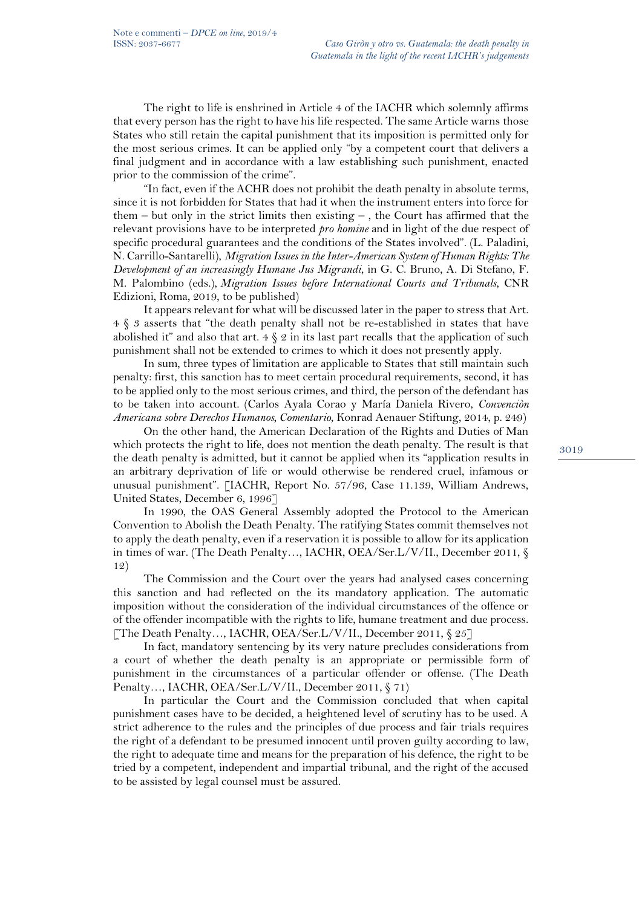The right to life is enshrined in Article 4 of the IACHR which solemnly affirms that every person has the right to have his life respected. The same Article warns those States who still retain the capital punishment that its imposition is permitted only for the most serious crimes. It can be applied only "by a competent court that delivers a final judgment and in accordance with a law establishing such punishment, enacted prior to the commission of the crime".

"In fact, even if the ACHR does not prohibit the death penalty in absolute terms, since it is not forbidden for States that had it when the instrument enters into force for them  $-$  but only in the strict limits then existing  $-$ , the Court has affirmed that the relevant provisions have to be interpreted *pro homine* and in light of the due respect of specific procedural guarantees and the conditions of the States involved". (L. Paladini, N. Carrillo-Santarelli), *Migration Issues in the Inter-American System of Human Rights: The Development of an increasingly Humane Jus Migrandi*, in G. C. Bruno, A. Di Stefano, F. M. Palombino (eds.), *Migration Issues before International Courts and Tribunals*, CNR Edizioni, Roma, 2019, to be published)

It appears relevant for what will be discussed later in the paper to stress that Art. 4 § 3 asserts that "the death penalty shall not be re-established in states that have abolished it" and also that art.  $4 \xi 2$  in its last part recalls that the application of such punishment shall not be extended to crimes to which it does not presently apply.

In sum, three types of limitation are applicable to States that still maintain such penalty: first, this sanction has to meet certain procedural requirements, second, it has to be applied only to the most serious crimes, and third, the person of the defendant has to be taken into account. (Carlos Ayala Corao y María Daniela Rivero, *Convenciòn Americana sobre Derechos Humanos, Comentario*, Konrad Aenauer Stiftung, 2014, p. 249)

On the other hand, the American Declaration of the Rights and Duties of Man which protects the right to life, does not mention the death penalty. The result is that the death penalty is admitted, but it cannot be applied when its "application results in an arbitrary deprivation of life or would otherwise be rendered cruel, infamous or unusual punishment". [IACHR, Report No. 57/96, Case 11.139, William Andrews, United States, December 6, 1996]

In 1990, the OAS General Assembly adopted the Protocol to the American Convention to Abolish the Death Penalty. The ratifying States commit themselves not to apply the death penalty, even if a reservation it is possible to allow for its application in times of war. (The Death Penalty…, IACHR, OEA/Ser.L/V/II., December 2011, § 12)

The Commission and the Court over the years had analysed cases concerning this sanction and had reflected on the its mandatory application. The automatic imposition without the consideration of the individual circumstances of the offence or of the offender incompatible with the rights to life, humane treatment and due process. [The Death Penalty…, IACHR, OEA/Ser.L/V/II., December 2011, § 25]

In fact, mandatory sentencing by its very nature precludes considerations from a court of whether the death penalty is an appropriate or permissible form of punishment in the circumstances of a particular offender or offense. (The Death Penalty…, IACHR, OEA/Ser.L/V/II., December 2011, § 71)

In particular the Court and the Commission concluded that when capital punishment cases have to be decided, a heightened level of scrutiny has to be used. A strict adherence to the rules and the principles of due process and fair trials requires the right of a defendant to be presumed innocent until proven guilty according to law, the right to adequate time and means for the preparation of his defence, the right to be tried by a competent, independent and impartial tribunal, and the right of the accused to be assisted by legal counsel must be assured.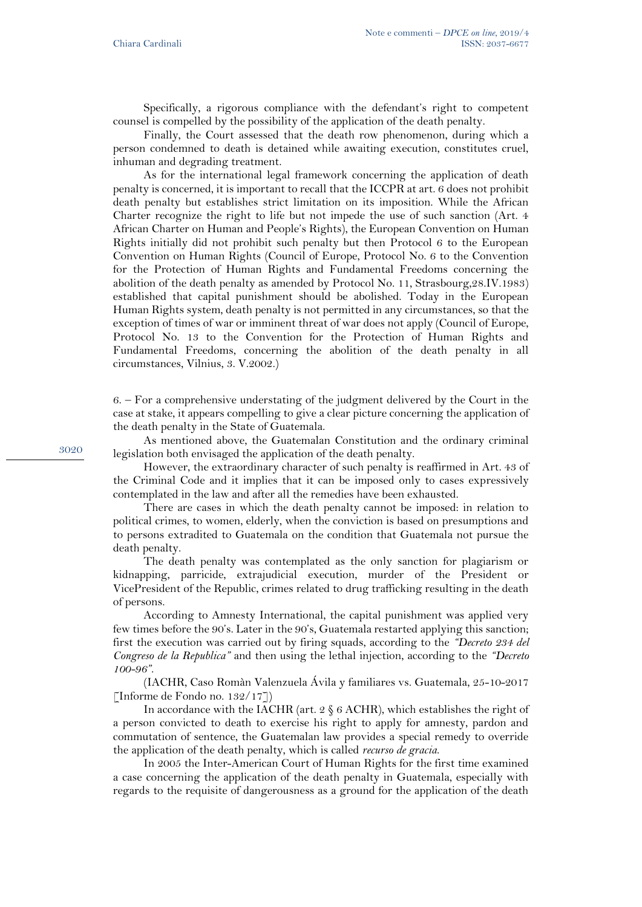Specifically, a rigorous compliance with the defendant's right to competent counsel is compelled by the possibility of the application of the death penalty.

Finally, the Court assessed that the death row phenomenon, during which a person condemned to death is detained while awaiting execution, constitutes cruel, inhuman and degrading treatment.

As for the international legal framework concerning the application of death penalty is concerned, it is important to recall that the ICCPR at art. 6 does not prohibit death penalty but establishes strict limitation on its imposition. While the African Charter recognize the right to life but not impede the use of such sanction (Art. 4 African Charter on Human and People's Rights), the European Convention on Human Rights initially did not prohibit such penalty but then Protocol 6 to the European Convention on Human Rights (Council of Europe, Protocol No. 6 to the Convention for the Protection of Human Rights and Fundamental Freedoms concerning the abolition of the death penalty as amended by Protocol No. 11, Strasbourg,28.IV.1983) established that capital punishment should be abolished. Today in the European Human Rights system, death penalty is not permitted in any circumstances, so that the exception of times of war or imminent threat of war does not apply (Council of Europe, Protocol No. 13 to the Convention for the Protection of Human Rights and Fundamental Freedoms, concerning the abolition of the death penalty in all circumstances, Vilnius, 3. V.2002.)

6. – For a comprehensive understating of the judgment delivered by the Court in the case at stake, it appears compelling to give a clear picture concerning the application of the death penalty in the State of Guatemala.

As mentioned above, the Guatemalan Constitution and the ordinary criminal legislation both envisaged the application of the death penalty.

However, the extraordinary character of such penalty is reaffirmed in Art. 43 of the Criminal Code and it implies that it can be imposed only to cases expressively contemplated in the law and after all the remedies have been exhausted.

There are cases in which the death penalty cannot be imposed: in relation to political crimes, to women, elderly, when the conviction is based on presumptions and to persons extradited to Guatemala on the condition that Guatemala not pursue the death penalty.

The death penalty was contemplated as the only sanction for plagiarism or kidnapping, parricide, extrajudicial execution, murder of the President or VicePresident of the Republic, crimes related to drug trafficking resulting in the death of persons.

According to Amnesty International, the capital punishment was applied very few times before the 90's. Later in the 90's, Guatemala restarted applying this sanction; first the execution was carried out by firing squads, according to the *"Decreto 234 del Congreso de la Republica"* and then using the lethal injection, according to the *"Decreto 100-96"*.

(IACHR, Caso Romàn Valenzuela Ávila y familiares vs. Guatemala, 25-10-2017 [Informe de Fondo no. 132/17])

In accordance with the IACHR (art. 2 § 6 ACHR), which establishes the right of a person convicted to death to exercise his right to apply for amnesty, pardon and commutation of sentence, the Guatemalan law provides a special remedy to override the application of the death penalty, which is called *recurso de gracia*.

In 2005 the Inter-American Court of Human Rights for the first time examined a case concerning the application of the death penalty in Guatemala, especially with regards to the requisite of dangerousness as a ground for the application of the death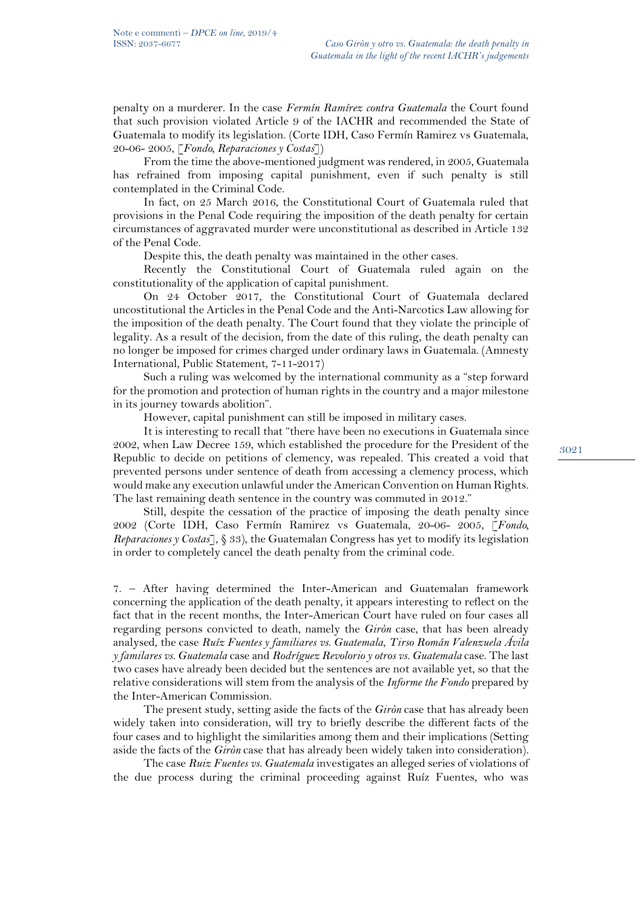penalty on a murderer. In the case *Fermín Ramírez contra Guatemala* the Court found that such provision violated Article 9 of the IACHR and recommended the State of Guatemala to modify its legislation. (Corte IDH, Caso Fermín Ramirez vs Guatemala, 20-06- 2005, [*Fondo, Reparaciones y Costas*])

From the time the above-mentioned judgment was rendered, in 2005, Guatemala has refrained from imposing capital punishment, even if such penalty is still contemplated in the Criminal Code.

In fact, on 25 March 2016, the Constitutional Court of Guatemala ruled that provisions in the Penal Code requiring the imposition of the death penalty for certain circumstances of aggravated murder were unconstitutional as described in Article 132 of the Penal Code.

Despite this, the death penalty was maintained in the other cases.

Recently the Constitutional Court of Guatemala ruled again on the constitutionality of the application of capital punishment.

On 24 October 2017, the Constitutional Court of Guatemala declared uncostitutional the Articles in the Penal Code and the Anti-Narcotics Law allowing for the imposition of the death penalty. The Court found that they violate the principle of legality. As a result of the decision, from the date of this ruling, the death penalty can no longer be imposed for crimes charged under ordinary laws in Guatemala. (Amnesty International, Public Statement, 7-11-2017)

Such a ruling was welcomed by the international community as a "step forward for the promotion and protection of human rights in the country and a major milestone in its journey towards abolition".

However, capital punishment can still be imposed in military cases.

It is interesting to recall that "there have been no executions in Guatemala since 2002, when Law Decree 159, which established the procedure for the President of the Republic to decide on petitions of clemency, was repealed. This created a void that prevented persons under sentence of death from accessing a clemency process, which would make any execution unlawful under the American Convention on Human Rights. The last remaining death sentence in the country was commuted in 2012."

Still, despite the cessation of the practice of imposing the death penalty since 2002 (Corte IDH, Caso Fermín Ramirez vs Guatemala, 20-06- 2005, [*Fondo, Reparaciones y Costas*], § 33), the Guatemalan Congress has yet to modify its legislation in order to completely cancel the death penalty from the criminal code.

7. – After having determined the Inter-American and Guatemalan framework concerning the application of the death penalty, it appears interesting to reflect on the fact that in the recent months, the Inter-American Court have ruled on four cases all regarding persons convicted to death, namely the *Giròn* case, that has been already analysed, the case *Ruíz Fuentes y familiares vs. Guatemala*, *Tirso Román Valenzuela Ávila y familares vs. Guatemala* case and *Rodríguez Revolorio y otros vs. Guatemala* case. The last two cases have already been decided but the sentences are not available yet, so that the relative considerations will stem from the analysis of the *Informe the Fondo* prepared by the Inter-American Commission.

The present study, setting aside the facts of the *Giròn* case that has already been widely taken into consideration, will try to briefly describe the different facts of the four cases and to highlight the similarities among them and their implications (Setting aside the facts of the *Giròn* case that has already been widely taken into consideration).

The case *Ruiz Fuentes vs. Guatemala* investigates an alleged series of violations of the due process during the criminal proceeding against Ruíz Fuentes, who was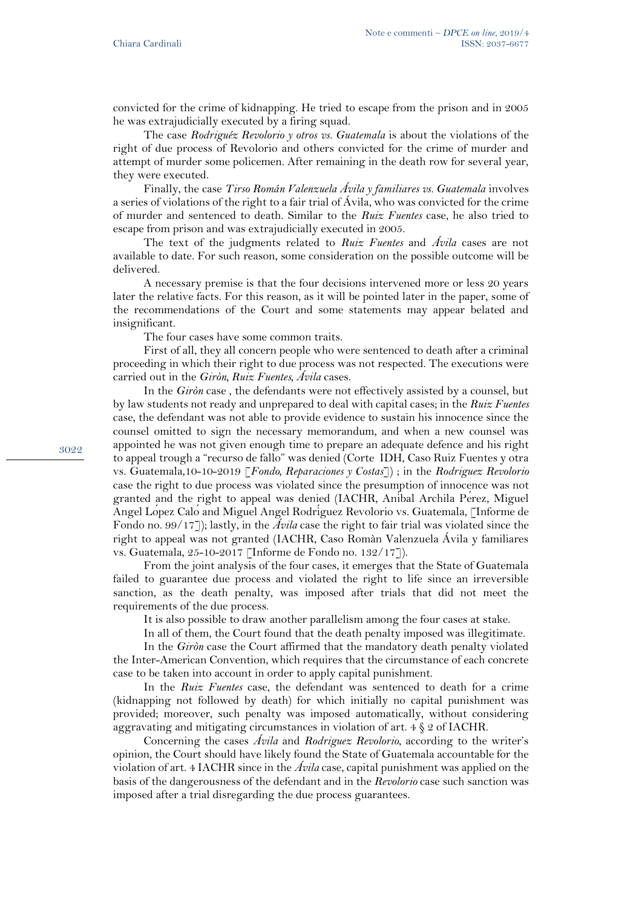convicted for the crime of kidnapping. He tried to escape from the prison and in 2005 he was extrajudicially executed by a firing squad.

The case *Rodriguéz Revolorio y otros vs. Guatemala* is about the violations of the right of due process of Revolorio and others convicted for the crime of murder and attempt of murder some policemen. After remaining in the death row for several year, they were executed.

Finally, the case *Tirso Román Valenzuela Ávila y familiares vs. Guatemala* involves a series of violations of the right to a fair trial of Ávila, who was convicted for the crime of murder and sentenced to death. Similar to the *Ruiz Fuentes* case, he also tried to escape from prison and was extrajudicially executed in 2005.

The text of the judgments related to *Ruiz Fuentes* and *Ávila* cases are not available to date. For such reason, some consideration on the possible outcome will be delivered.

A necessary premise is that the four decisions intervened more or less 20 years later the relative facts. For this reason, as it will be pointed later in the paper, some of the recommendations of the Court and some statements may appear belated and insignificant.

The four cases have some common traits.

First of all, they all concern people who were sentenced to death after a criminal proceeding in which their right to due process was not respected. The executions were carried out in the *Giròn, Ruiz Fuentes, Ávila* cases.

In the *Giròn* case , the defendants were not effectively assisted by a counsel, but by law students not ready and unprepared to deal with capital cases; in the *Ruiz Fuentes* case, the defendant was not able to provide evidence to sustain his innocence since the counsel omitted to sign the necessary memorandum, and when a new counsel was appointed he was not given enough time to prepare an adequate defence and his right to appeal trough a "recurso de fallo" was denied (Corte IDH, Caso Ruiz Fuentes y otra vs. Guatemala,10-10-2019 [*Fondo, Reparaciones y Costas*]) ; in the *Rodriguez Revolorio* case the right to due process was violated since the presumption of innocence was not granted and the right to appeal was denied (IACHR, Aníbal Archila Pérez, Miguel Angel López Calóand Miguel Angel Rodríguez Revolorio vs. Guatemala, [Informe de Fondo no. 99/17]); lastly, in the *Ávila* case the right to fair trial was violated since the right to appeal was not granted (IACHR, Caso Romàn Valenzuela Ávila y familiares vs. Guatemala, 25-10-2017 [Informe de Fondo no. 132/17]).

From the joint analysis of the four cases, it emerges that the State of Guatemala failed to guarantee due process and violated the right to life since an irreversible sanction, as the death penalty, was imposed after trials that did not meet the requirements of the due process.

It is also possible to draw another parallelism among the four cases at stake.

In all of them, the Court found that the death penalty imposed was illegitimate.

In the *Giròn* case the Court affirmed that the mandatory death penalty violated the Inter-American Convention, which requires that the circumstance of each concrete case to be taken into account in order to apply capital punishment.

In the *Ruiz Fuentes* case, the defendant was sentenced to death for a crime (kidnapping not followed by death) for which initially no capital punishment was provided; moreover, such penalty was imposed automatically, without considering aggravating and mitigating circumstances in violation of art. 4 § 2 of IACHR.

Concerning the cases *Ávila* and *Rodriguez Revolorio*, according to the writer's opinion, the Court should have likely found the State of Guatemala accountable for the violation of art. 4 IACHR since in the *Ávila* case, capital punishment was applied on the basis of the dangerousness of the defendant and in the *Revolorio* case such sanction was imposed after a trial disregarding the due process guarantees.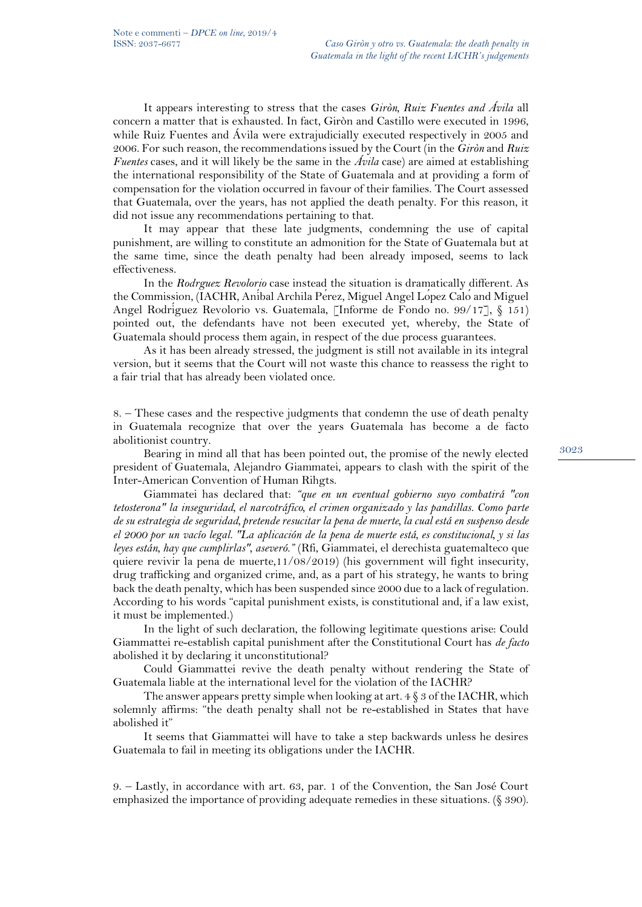It appears interesting to stress that the cases *Giròn, Ruiz Fuentes and Ávila* all concern a matter that is exhausted. In fact, Giròn and Castillo were executed in 1996, while Ruiz Fuentes and Ávila were extrajudicially executed respectively in 2005 and 2006. For such reason, the recommendations issued by the Court (in the *Giròn* and *Ruiz Fuentes* cases, and it will likely be the same in the *Ávila* case) are aimed at establishing the international responsibility of the State of Guatemala and at providing a form of compensation for the violation occurred in favour of their families. The Court assessed that Guatemala, over the years, has not applied the death penalty. For this reason, it did not issue any recommendations pertaining to that.

It may appear that these late judgments, condemning the use of capital punishment, are willing to constitute an admonition for the State of Guatemala but at the same time, since the death penalty had been already imposed, seems to lack effectiveness.

In the *Rodrguez Revolorio* case instead the situation is dramatically different. As the Commission, (IACHR, Anibal Archila Perez, Miguel Angel Lopez Calo and Miguel Angel Rodríguez Revolorio vs. Guatemala, [Informe de Fondo no. 99/17], § 151) pointed out, the defendants have not been executed yet, whereby, the State of Guatemala should process them again, in respect of the due process guarantees.

As it has been already stressed, the judgment is still not available in its integral version, but it seems that the Court will not waste this chance to reassess the right to a fair trial that has already been violated once.

8. – These cases and the respective judgments that condemn the use of death penalty in Guatemala recognize that over the years Guatemala has become a de facto abolitionist country.

Bearing in mind all that has been pointed out, the promise of the newly elected president of Guatemala, Alejandro Giammatei, appears to clash with the spirit of the Inter-American Convention of Human Rihgts.

Giammatei has declared that: *"que en un eventual gobierno suyo combatirá "con tetosterona" la inseguridad, el narcotráfico, el crimen organizado y las pandillas. Como parte de su estrategia de seguridad, pretende resucitar la pena de muerte, la cual está en suspenso desde el 2000 por un vacío legal. "La aplicación de la pena de muerte está, es constitucional, y si las leyes están, hay que cumplirlas", aseveró."* (Rfi, Giammatei, el derechista guatemalteco que quiere revivir la pena de muerte,11/08/2019) (his government will fight insecurity, drug trafficking and organized crime, and, as a part of his strategy, he wants to bring back the death penalty, which has been suspended since 2000 due to a lack of regulation. According to his words "capital punishment exists, is constitutional and, if a law exist, it must be implemented.)

In the light of such declaration, the following legitimate questions arise: Could Giammattei re-establish capital punishment after the Constitutional Court has *de facto* abolished it by declaring it unconstitutional?

Could Giammattei revive the death penalty without rendering the State of Guatemala liable at the international level for the violation of the IACHR?

The answer appears pretty simple when looking at art.  $4 \hat{\S}$  3 of the IACHR, which solemnly affirms: "the death penalty shall not be re-established in States that have abolished it"

It seems that Giammattei will have to take a step backwards unless he desires Guatemala to fail in meeting its obligations under the IACHR.

9. – Lastly, in accordance with art. 63, par. 1 of the Convention, the San José Court emphasized the importance of providing adequate remedies in these situations. (§ 390).